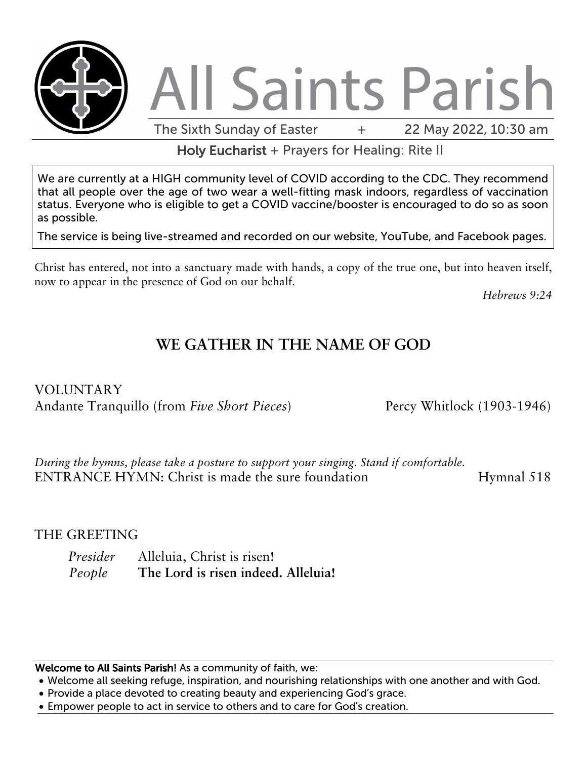

Holy Eucharist + Prayers for Healing: Rite II

We are currently at a HIGH community level of COVID according to the CDC. They recommend that all people over the age of two wear a well-fitting mask indoors, regardless of vaccination status. Everyone who is eligible to get a COVID vaccine/booster is encouraged to do so as soon as possible.

The service is being live-streamed and recorded on our website, YouTube, and Facebook pages.

Christ has entered, not into a sanctuary made with hands, a copy of the true one, but into heaven itself, now to appear in the presence of God on our behalf.

*Hebrews 9:24*

# **WE GATHER IN THE NAME OF GOD**

VOLUNTARY Andante Tranquillo (from *Five Short Pieces*) Percy Whitlock (1903-1946)

*During the hymns, please take a posture to support your singing. Stand if comfortable.* ENTRANCE HYMN: Christ is made the sure foundation Hymnal 518

## THE GREETING

 *Presider* Alleluia, Christ is risen! *People* **The Lord is risen indeed. Alleluia!**

Welcome to All Saints Parish! As a community of faith, we:

- Welcome all seeking refuge, inspiration, and nourishing relationships with one another and with God.
- Provide a place devoted to creating beauty and experiencing God's grace.
- Empower people to act in service to others and to care for God's creation.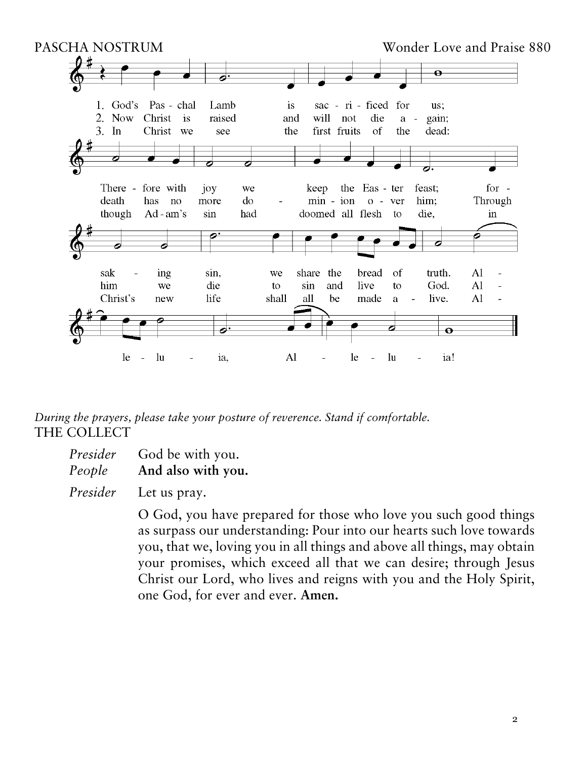

*During the prayers, please take your posture of reverence. Stand if comfortable.* THE COLLECT

| Presider | God be with you.   |
|----------|--------------------|
| People   | And also with you. |

*Presider* Let us pray.

O God, you have prepared for those who love you such good things as surpass our understanding: Pour into our hearts such love towards you, that we, loving you in all things and above all things, may obtain your promises, which exceed all that we can desire; through Jesus Christ our Lord, who lives and reigns with you and the Holy Spirit, one God, for ever and ever. **Amen.**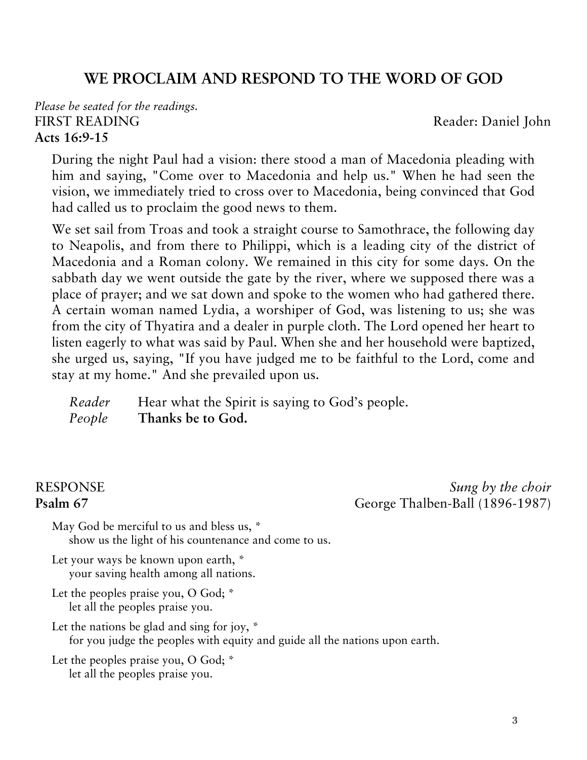# **WE PROCLAIM AND RESPOND TO THE WORD OF GOD**

#### *Please be seated for the readings.* FIRST READING Reader: Daniel John **Acts 16:9-15**

During the night Paul had a vision: there stood a man of Macedonia pleading with him and saying, "Come over to Macedonia and help us." When he had seen the vision, we immediately tried to cross over to Macedonia, being convinced that God had called us to proclaim the good news to them.

We set sail from Troas and took a straight course to Samothrace, the following day to Neapolis, and from there to Philippi, which is a leading city of the district of Macedonia and a Roman colony. We remained in this city for some days. On the sabbath day we went outside the gate by the river, where we supposed there was a place of prayer; and we sat down and spoke to the women who had gathered there. A certain woman named Lydia, a worshiper of God, was listening to us; she was from the city of Thyatira and a dealer in purple cloth. The Lord opened her heart to listen eagerly to what was said by Paul. When she and her household were baptized, she urged us, saying, "If you have judged me to be faithful to the Lord, come and stay at my home." And she prevailed upon us.

| Reader | Hear what the Spirit is saying to God's people. |
|--------|-------------------------------------------------|
| People | Thanks be to God.                               |

RESPONSE *Sung by the choir* **Psalm 67** George Thalben-Ball (1896-1987)

May God be merciful to us and bless us, \* show us the light of his countenance and come to us.

Let your ways be known upon earth,  $*$ your saving health among all nations.

Let the peoples praise you, O God; \* let all the peoples praise you.

Let the nations be glad and sing for joy, \* for you judge the peoples with equity and guide all the nations upon earth.

Let the peoples praise you, O God;  $*$ let all the peoples praise you.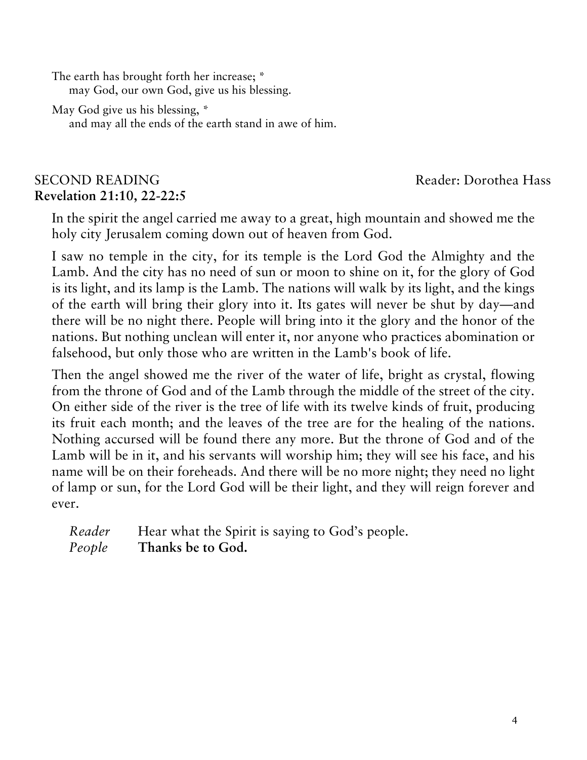The earth has brought forth her increase; \* may God, our own God, give us his blessing.

May God give us his blessing, \* and may all the ends of the earth stand in awe of him.

# SECOND READING Reader: Dorothea Hass **Revelation 21:10, 22-22:5**

In the spirit the angel carried me away to a great, high mountain and showed me the holy city Jerusalem coming down out of heaven from God.

I saw no temple in the city, for its temple is the Lord God the Almighty and the Lamb. And the city has no need of sun or moon to shine on it, for the glory of God is its light, and its lamp is the Lamb. The nations will walk by its light, and the kings of the earth will bring their glory into it. Its gates will never be shut by day—and there will be no night there. People will bring into it the glory and the honor of the nations. But nothing unclean will enter it, nor anyone who practices abomination or falsehood, but only those who are written in the Lamb's book of life.

Then the angel showed me the river of the water of life, bright as crystal, flowing from the throne of God and of the Lamb through the middle of the street of the city. On either side of the river is the tree of life with its twelve kinds of fruit, producing its fruit each month; and the leaves of the tree are for the healing of the nations. Nothing accursed will be found there any more. But the throne of God and of the Lamb will be in it, and his servants will worship him; they will see his face, and his name will be on their foreheads. And there will be no more night; they need no light of lamp or sun, for the Lord God will be their light, and they will reign forever and ever.

*Reader* Hear what the Spirit is saying to God's people. *People* **Thanks be to God.**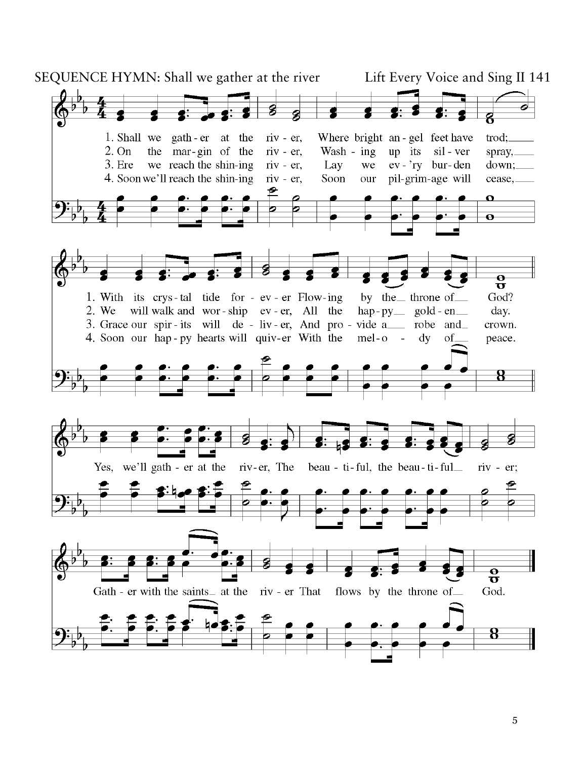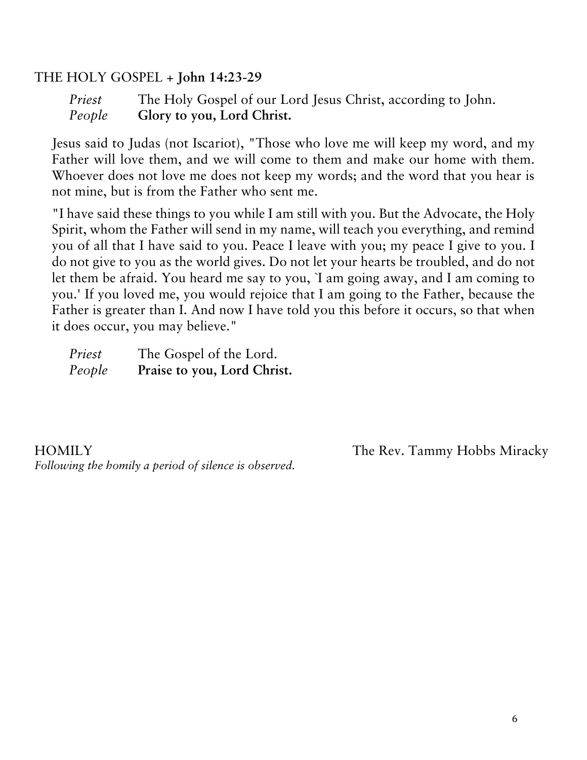# THE HOLY GOSPEL + **John 14:23-29**

*Priest* The Holy Gospel of our Lord Jesus Christ, according to John. *People* **Glory to you, Lord Christ.**

Jesus said to Judas (not Iscariot), "Those who love me will keep my word, and my Father will love them, and we will come to them and make our home with them. Whoever does not love me does not keep my words; and the word that you hear is not mine, but is from the Father who sent me.

"I have said these things to you while I am still with you. But the Advocate, the Holy Spirit, whom the Father will send in my name, will teach you everything, and remind you of all that I have said to you. Peace I leave with you; my peace I give to you. I do not give to you as the world gives. Do not let your hearts be troubled, and do not let them be afraid. You heard me say to you, `I am going away, and I am coming to you.' If you loved me, you would rejoice that I am going to the Father, because the Father is greater than I. And now I have told you this before it occurs, so that when it does occur, you may believe."

| Priest | The Gospel of the Lord.     |
|--------|-----------------------------|
| People | Praise to you, Lord Christ. |

HOMILY The Rev. Tammy Hobbs Miracky *Following the homily a period of silence is observed.*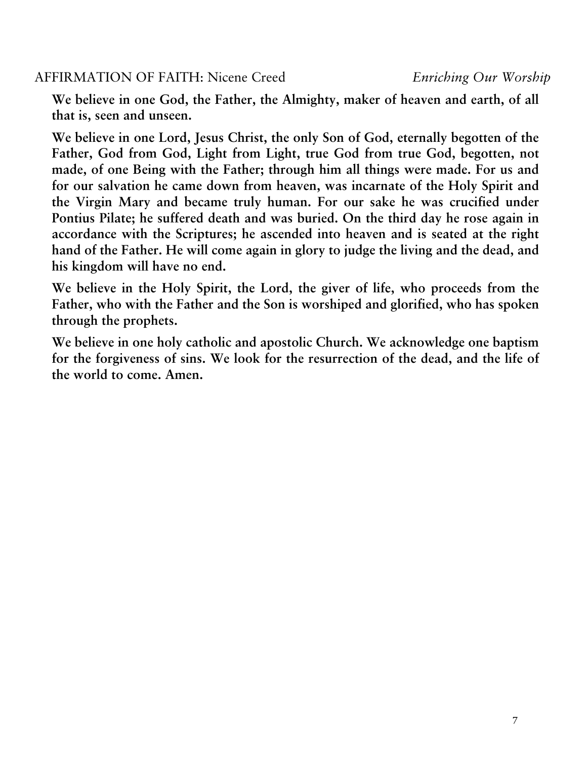## AFFIRMATION OF FAITH: Nicene Creed *Enriching Our Worship*

**We believe in one God, the Father, the Almighty, maker of heaven and earth, of all that is, seen and unseen.**

**We believe in one Lord, Jesus Christ, the only Son of God, eternally begotten of the Father, God from God, Light from Light, true God from true God, begotten, not made, of one Being with the Father; through him all things were made. For us and for our salvation he came down from heaven, was incarnate of the Holy Spirit and the Virgin Mary and became truly human. For our sake he was crucified under Pontius Pilate; he suffered death and was buried. On the third day he rose again in accordance with the Scriptures; he ascended into heaven and is seated at the right hand of the Father. He will come again in glory to judge the living and the dead, and his kingdom will have no end.**

**We believe in the Holy Spirit, the Lord, the giver of life, who proceeds from the Father, who with the Father and the Son is worshiped and glorified, who has spoken through the prophets.**

**We believe in one holy catholic and apostolic Church. We acknowledge one baptism for the forgiveness of sins. We look for the resurrection of the dead, and the life of the world to come. Amen.**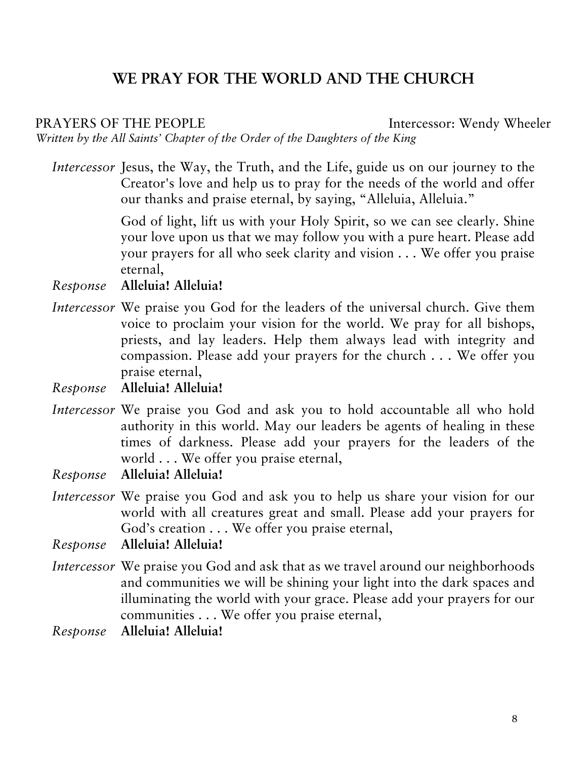# **WE PRAY FOR THE WORLD AND THE CHURCH**

PRAYERS OF THE PEOPLE Intercessor: Wendy Wheeler *Written by the All Saints' Chapter of the Order of the Daughters of the King*

*Intercessor* Jesus, the Way, the Truth, and the Life, guide us on our journey to the Creator's love and help us to pray for the needs of the world and offer our thanks and praise eternal, by saying, "Alleluia, Alleluia."

> God of light, lift us with your Holy Spirit, so we can see clearly. Shine your love upon us that we may follow you with a pure heart. Please add your prayers for all who seek clarity and vision . *. .* We offer you praise eternal,

## *Response* **Alleluia! Alleluia!**

- *Intercessor* We praise you God for the leaders of the universal church. Give them voice to proclaim your vision for the world. We pray for all bishops, priests, and lay leaders. Help them always lead with integrity and compassion. Please add your prayers for the church . *. .* We offer you praise eternal,
- *Response* **Alleluia! Alleluia!**
- *Intercessor* We praise you God and ask you to hold accountable all who hold authority in this world. May our leaders be agents of healing in these times of darkness. Please add your prayers for the leaders of the world . . . We offer you praise eternal,
- *Response* **Alleluia! Alleluia!**
- *Intercessor* We praise you God and ask you to help us share your vision for our world with all creatures great and small. Please add your prayers for God's creation . . . We offer you praise eternal,

*Response* **Alleluia! Alleluia!**

- *Intercessor* We praise you God and ask that as we travel around our neighborhoods and communities we will be shining your light into the dark spaces and illuminating the world with your grace. Please add your prayers for our communities . . . We offer you praise eternal,
- *Response* **Alleluia! Alleluia!**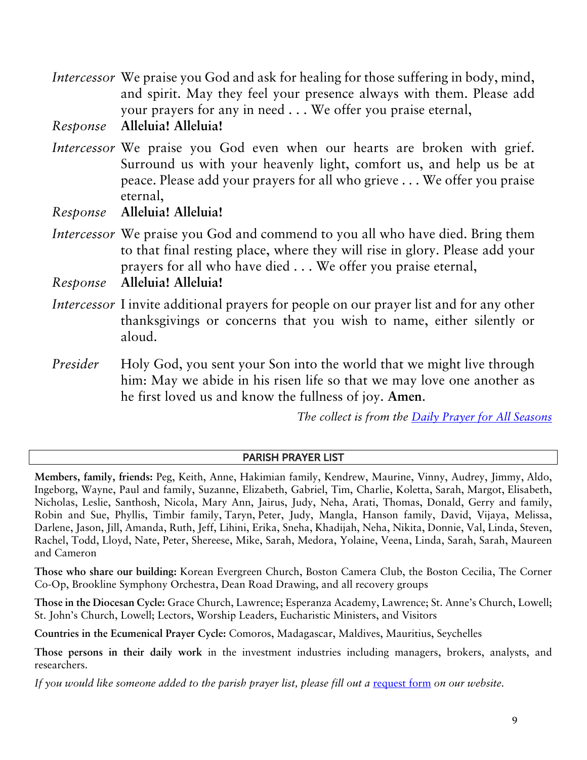*Intercessor* We praise you God and ask for healing for those suffering in body, mind, and spirit. May they feel your presence always with them. Please add your prayers for any in need . . . We offer you praise eternal,

*Response* **Alleluia! Alleluia!** 

- *Intercessor* We praise you God even when our hearts are broken with grief. Surround us with your heavenly light, comfort us, and help us be at peace. Please add your prayers for all who grieve . . . We offer you praise eternal,
- *Response* **Alleluia! Alleluia!**
- *Intercessor* We praise you God and commend to you all who have died. Bring them to that final resting place, where they will rise in glory. Please add your prayers for all who have died . . . We offer you praise eternal,

*Response* **Alleluia! Alleluia!**

- *Intercessor* I invite additional prayers for people on our prayer list and for any other thanksgivings or concerns that you wish to name, either silently or aloud.
- *Presider* Holy God, you sent your Son into the world that we might live through him: May we abide in his risen life so that we may love one another as he first loved us and know the fullness of joy. **Amen**.

*The collect is from the Daily Prayer for All Seasons*

#### PARISH PRAYER LIST

**Members, family, friends:** Peg, Keith, Anne, Hakimian family, Kendrew, Maurine, Vinny, Audrey, Jimmy, Aldo, Ingeborg, Wayne, Paul and family, Suzanne, Elizabeth, Gabriel, Tim, Charlie, Koletta, Sarah, Margot, Elisabeth, Nicholas, Leslie, Santhosh, Nicola, Mary Ann, Jairus, Judy, Neha, Arati, Thomas, Donald, Gerry and family, Robin and Sue, Phyllis, Timbir family, Taryn, Peter, Judy, Mangla, Hanson family, David, Vijaya, Melissa, Darlene, Jason, Jill, Amanda, Ruth, Jeff, Lihini, Erika, Sneha, Khadijah, Neha, Nikita, Donnie, Val, Linda, Steven, Rachel, Todd, Lloyd, Nate, Peter, Shereese, Mike, Sarah, Medora, Yolaine, Veena, Linda, Sarah, Sarah, Maureen and Cameron

**Those who share our building:** Korean Evergreen Church, Boston Camera Club, the Boston Cecilia, The Corner Co-Op, Brookline Symphony Orchestra, Dean Road Drawing, and all recovery groups

**Those in the Diocesan Cycle:** Grace Church, Lawrence; Esperanza Academy, Lawrence; St. Anne's Church, Lowell; St. John's Church, Lowell; Lectors, Worship Leaders, Eucharistic Ministers, and Visitors

**Countries in the Ecumenical Prayer Cycle:** Comoros, Madagascar, Maldives, Mauritius, Seychelles

**Those persons in their daily work** in the investment industries including managers, brokers, analysts, and researchers.

*If you would like someone added to the parish prayer list, please fill out a* request form *on our website.*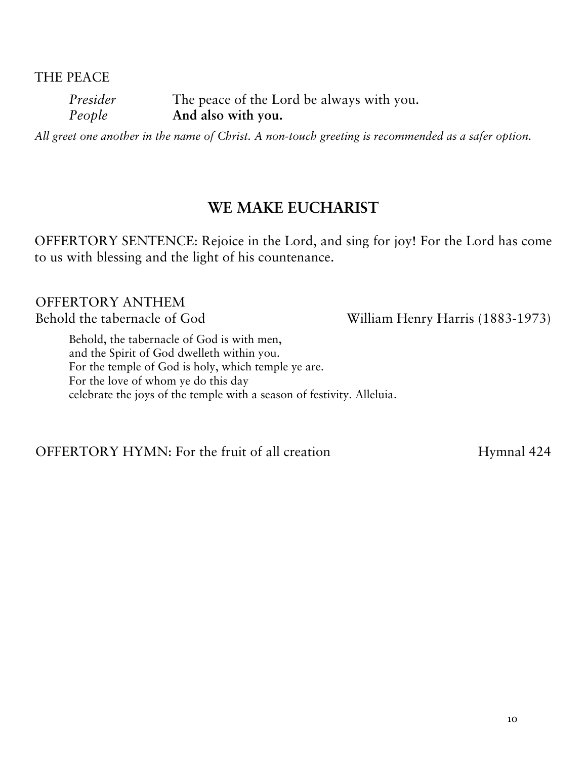#### THE PEACE

*Presider* The peace of the Lord be always with you. *People* **And also with you.**

*All greet one another in the name of Christ. A non-touch greeting is recommended as a safer option.*

# **WE MAKE EUCHARIST**

OFFERTORY SENTENCE: Rejoice in the Lord, and sing for joy! For the Lord has come to us with blessing and the light of his countenance.

# OFFERTORY ANTHEM

Behold the tabernacle of God William Henry Harris (1883-1973)

Behold, the tabernacle of God is with men, and the Spirit of God dwelleth within you. For the temple of God is holy, which temple ye are. For the love of whom ye do this day celebrate the joys of the temple with a season of festivity. Alleluia.

OFFERTORY HYMN: For the fruit of all creation Hymnal 424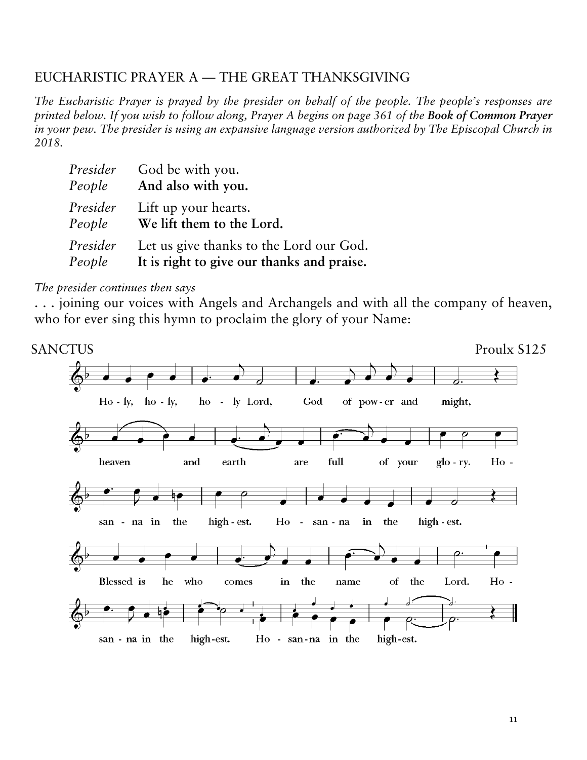# EUCHARISTIC PRAYER A — THE GREAT THANKSGIVING

*The Eucharistic Prayer is prayed by the presider on behalf of the people. The people's responses are printed below. If you wish to follow along, Prayer A begins on page 361 of the Book of Common Prayer in your pew. The presider is using an expansive language version authorized by The Episcopal Church in 2018.* 

| Presider | God be with you.                           |
|----------|--------------------------------------------|
| People   | And also with you.                         |
| Presider | Lift up your hearts.                       |
| People   | We lift them to the Lord.                  |
| Presider | Let us give thanks to the Lord our God.    |
| People   | It is right to give our thanks and praise. |

#### *The presider continues then says*

. . . joining our voices with Angels and Archangels and with all the company of heaven, who for ever sing this hymn to proclaim the glory of your Name:

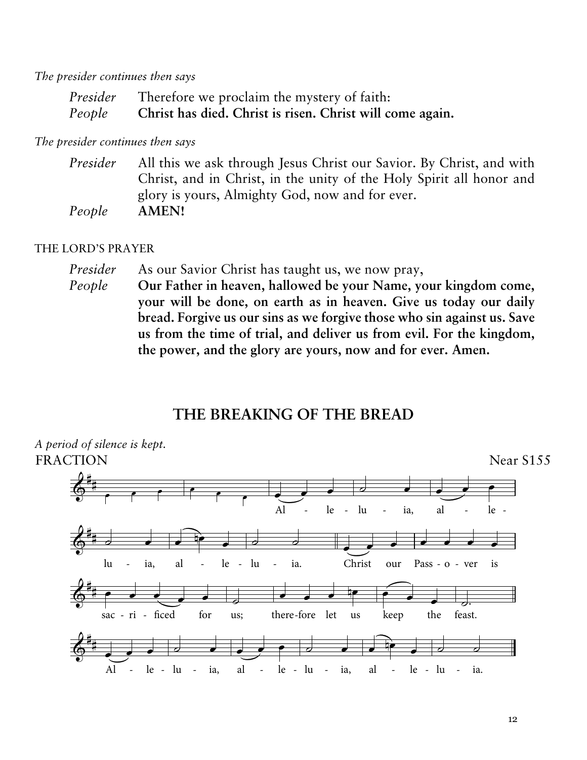*The presider continues then says*

| Presider | Therefore we proclaim the mystery of faith:               |
|----------|-----------------------------------------------------------|
| People   | Christ has died. Christ is risen. Christ will come again. |

#### *The presider continues then says*

| Presider | All this we ask through Jesus Christ our Savior. By Christ, and with |
|----------|----------------------------------------------------------------------|
|          | Christ, and in Christ, in the unity of the Holy Spirit all honor and |
|          | glory is yours, Almighty God, now and for ever.                      |
| People   | AMEN!                                                                |

#### THE LORD'S PRAYER

*Presider* As our Savior Christ has taught us, we now pray, *People* **Our Father in heaven, hallowed be your Name, your kingdom come, your will be done, on earth as in heaven. Give us today our daily bread. Forgive us our sins as we forgive those who sin against us. Save us from the time of trial, and deliver us from evil. For the kingdom, the power, and the glory are yours, now and for ever. Amen.**

# **THE BREAKING OF THE BREAD**

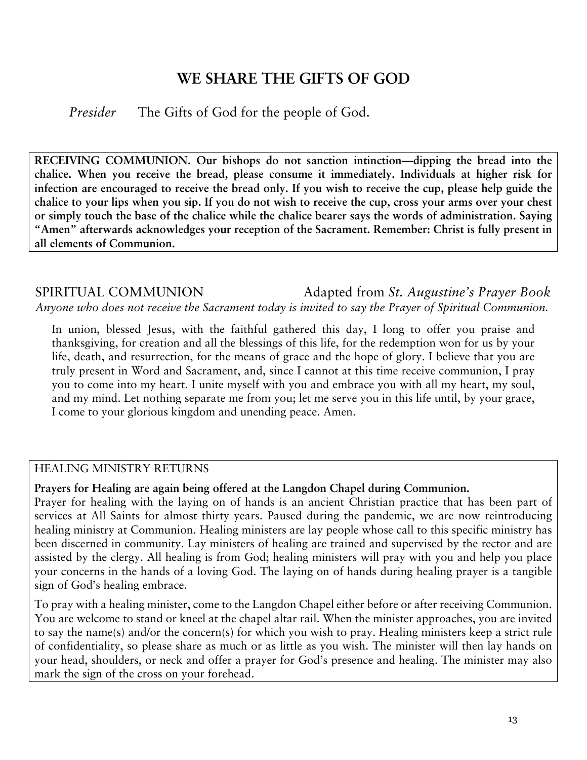# **WE SHARE THE GIFTS OF GOD**

*Presider* The Gifts of God for the people of God.

**RECEIVING COMMUNION. Our bishops do not sanction intinction—dipping the bread into the chalice. When you receive the bread, please consume it immediately. Individuals at higher risk for infection are encouraged to receive the bread only. If you wish to receive the cup, please help guide the chalice to your lips when you sip. If you do not wish to receive the cup, cross your arms over your chest or simply touch the base of the chalice while the chalice bearer says the words of administration. Saying "Amen" afterwards acknowledges your reception of the Sacrament. Remember: Christ is fully present in all elements of Communion.**

# SPIRITUAL COMMUNION Adapted from *St. Augustine's Prayer Book Anyone who does not receive the Sacrament today is invited to say the Prayer of Spiritual Communion.*

In union, blessed Jesus, with the faithful gathered this day, I long to offer you praise and thanksgiving, for creation and all the blessings of this life, for the redemption won for us by your life, death, and resurrection, for the means of grace and the hope of glory. I believe that you are truly present in Word and Sacrament, and, since I cannot at this time receive communion, I pray you to come into my heart. I unite myself with you and embrace you with all my heart, my soul, and my mind. Let nothing separate me from you; let me serve you in this life until, by your grace, I come to your glorious kingdom and unending peace. Amen.

## HEALING MINISTRY RETURNS

**Prayers for Healing are again being offered at the Langdon Chapel during Communion.** 

Prayer for healing with the laying on of hands is an ancient Christian practice that has been part of services at All Saints for almost thirty years. Paused during the pandemic, we are now reintroducing healing ministry at Communion. Healing ministers are lay people whose call to this specific ministry has been discerned in community. Lay ministers of healing are trained and supervised by the rector and are assisted by the clergy. All healing is from God; healing ministers will pray with you and help you place your concerns in the hands of a loving God. The laying on of hands during healing prayer is a tangible sign of God's healing embrace.

To pray with a healing minister, come to the Langdon Chapel either before or after receiving Communion. You are welcome to stand or kneel at the chapel altar rail. When the minister approaches, you are invited to say the name(s) and/or the concern(s) for which you wish to pray. Healing ministers keep a strict rule of confidentiality, so please share as much or as little as you wish. The minister will then lay hands on your head, shoulders, or neck and offer a prayer for God's presence and healing. The minister may also mark the sign of the cross on your forehead.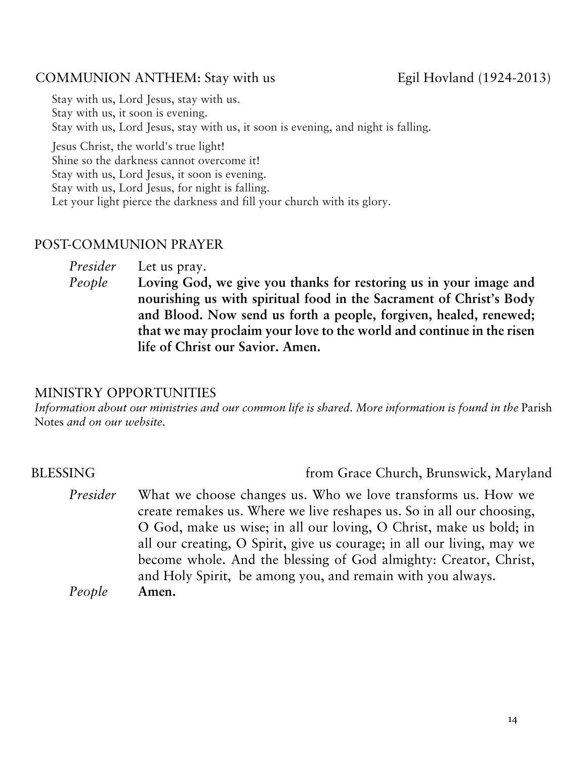# COMMUNION ANTHEM: Stay with us Egil Hovland (1924-2013)

Stay with us, Lord Jesus, stay with us. Stay with us, it soon is evening. Stay with us, Lord Jesus, stay with us, it soon is evening, and night is falling. Jesus Christ, the world's true light!

Shine so the darkness cannot overcome it! Stay with us, Lord Jesus, it soon is evening. Stay with us, Lord Jesus, for night is falling. Let your light pierce the darkness and fill your church with its glory.

# POST-COMMUNION PRAYER

*Presider* Let us pray.

*People* **Loving God, we give you thanks for restoring us in your image and nourishing us with spiritual food in the Sacrament of Christ's Body and Blood. Now send us forth a people, forgiven, healed, renewed; that we may proclaim your love to the world and continue in the risen life of Christ our Savior. Amen.**

# MINISTRY OPPORTUNITIES

*Information about our ministries and our common life is shared. More information is found in the* Parish Notes *and on our website.* 

BLESSING from Grace Church, Brunswick, Maryland

*Presider* What we choose changes us. Who we love transforms us. How we create remakes us. Where we live reshapes us. So in all our choosing, O God, make us wise; in all our loving, O Christ, make us bold; in all our creating, O Spirit, give us courage; in all our living, may we become whole. And the blessing of God almighty: Creator, Christ, and Holy Spirit, be among you, and remain with you always. *People* **Amen.**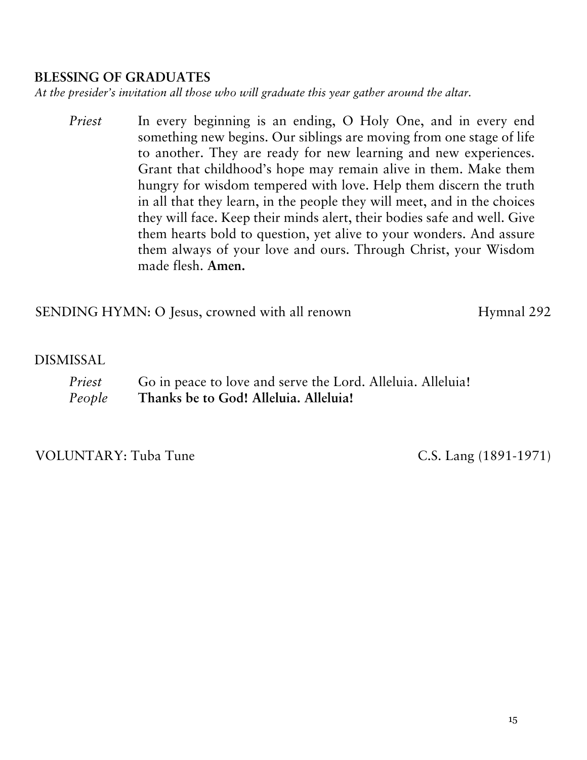## **BLESSING OF GRADUATES**

*At the presider's invitation all those who will graduate this year gather around the altar.*

*Priest* In every beginning is an ending, O Holy One, and in every end something new begins. Our siblings are moving from one stage of life to another. They are ready for new learning and new experiences. Grant that childhood's hope may remain alive in them. Make them hungry for wisdom tempered with love. Help them discern the truth in all that they learn, in the people they will meet, and in the choices they will face. Keep their minds alert, their bodies safe and well. Give them hearts bold to question, yet alive to your wonders. And assure them always of your love and ours. Through Christ, your Wisdom made flesh. **Amen.**

| SENDING HYMN: O Jesus, crowned with all renown |  |  |
|------------------------------------------------|--|--|
|------------------------------------------------|--|--|

Hymnal 292

## DISMISSAL

| Priest | Go in peace to love and serve the Lord. Alleluia. Alleluia! |
|--------|-------------------------------------------------------------|
| People | Thanks be to God! Alleluia. Alleluia!                       |

VOLUNTARY: Tuba Tune C.S. Lang (1891-1971)